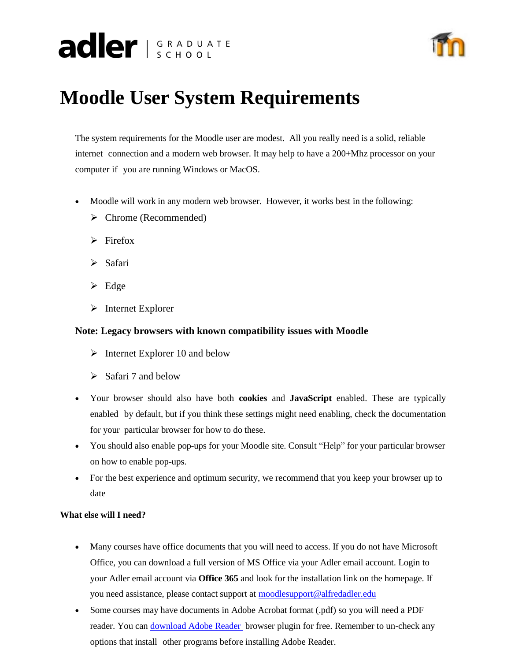# adler SCHOOL



# **Moodle User System Requirements**

The system requirements for the Moodle user are modest. All you really need is a solid, reliable internet connection and a modern web browser. It may help to have a 200+Mhz processor on your computer if you are running Windows or MacOS.

- Moodle will work in any modern web browser. However, it works best in the following:
	- ➢ Chrome (Recommended)
	- $\triangleright$  Firefox
	- ➢ Safari
	- ➢ Edge
	- ➢ Internet Explorer

# **Note: Legacy browsers with known compatibility issues with Moodle**

- $\triangleright$  Internet Explorer 10 and below
- $\triangleright$  Safari 7 and below
- Your browser should also have both **cookies** and **JavaScript** enabled. These are typically enabled by default, but if you think these settings might need enabling, check the documentation for your particular browser for how to do these.
- You should also enable pop-ups for your Moodle site. Consult "Help" for your particular browser on how to enable pop-ups.
- For the best experience and optimum security, we recommend that you keep your browser up to date

## **What else will I need?**

- Many courses have office documents that you will need to access. If you do not have Microsoft Office, you can download a full version of MS Office via your Adler email account. Login to your Adler email account via **Office 365** and look for the installation link on the homepage. If you need assistance, please contact support at [moodlesupport@alfredadler.edu](mailto:moodlesupport@alfredadler.edu)
- Some courses may have documents in Adobe Acrobat format (.pdf) so you will need a PDF reader. You can [download](https://get.adobe.com/reader/) Adobe Reader browser plugin for free. Remember to un-check any options that install other programs before installing Adobe Reader.